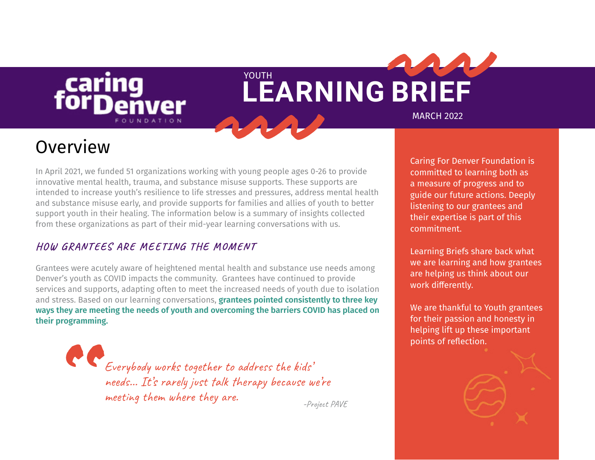

## YOUTH **LEARNING BRIEF** MARCH 2022

**Overview** 

In April 2021, we funded 51 organizations working with young people ages 0-26 to provide innovative mental health, trauma, and substance misuse supports. These supports are intended to increase youth's resilience to life stresses and pressures, address mental health and substance misuse early, and provide supports for families and allies of youth to better support youth in their healing. The information below is a summary of insights collected from these organizations as part of their mid-year learning conversations with us.

#### **HOW GRANTEES ARE MEETING THE MOMENT**

Grantees were acutely aware of heightened mental health and substance use needs among Denver's youth as COVID impacts the community. Grantees have continued to provide services and supports, adapting often to meet the increased needs of youth due to isolation and stress. Based on our learning conversations, **grantees pointed consistently to three key ways they are meeting the needs of youth and overcoming the barriers COVID has placed on their programming.** 

> Everybody works together to address the kids' needs... It's rarely just talk therapy because we're meeting them where they are.

Caring For Denver Foundation is committed to learning both as a measure of progress and to guide our future actions. Deeply listening to our grantees and their expertise is part of this commitment.

Learning Briefs share back what we are learning and how grantees are helping us think about our work differently.

We are thankful to Youth grantees for their passion and honesty in helping lift up these important points of reflection.

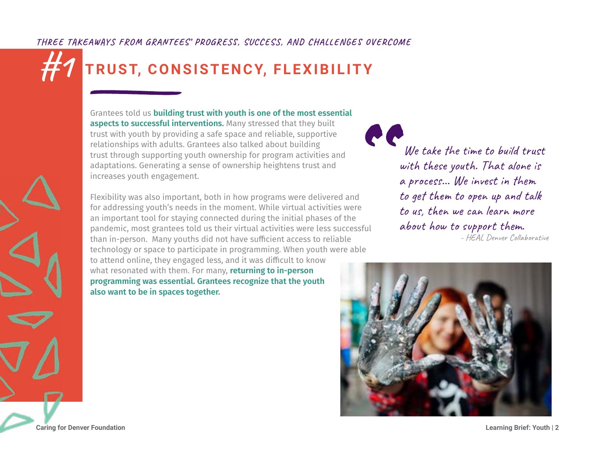# **#1 T R U S T, C O N S I S T E N C Y, F L E X I B I L IT Y**

Grantees told us **building trust with youth is one of the most essential aspects to successful interventions.** Many stressed that they built trust with youth by providing a safe space and reliable, supportive relationships with adults. Grantees also talked about building trust through supporting youth ownership for program activities and adaptations. Generating a sense of ownership heightens trust and increases youth engagement.

Flexibility was also important, both in how programs were delivered and for addressing youth's needs in the moment. While virtual activities were an important tool for staying connected during the initial phases of the pandemic, most grantees told us their virtual activities were less successful than in-person. Many youths did not have sufficient access to reliable technology or space to participate in programming. When youth were able to attend online, they engaged less, and it was difficult to know what resonated with them. For many, **returning to in-person programming was essential. Grantees recognize that the youth also want to be in spaces together.** 

We take the time to build trust with these youth. That alone is a process... We invest in them to get them to open up and talk to us, then we can learn more about how to support them. - HEAL Denver Collaborative



**Caring for Denver Foundation Learning Brief: Youth | 2**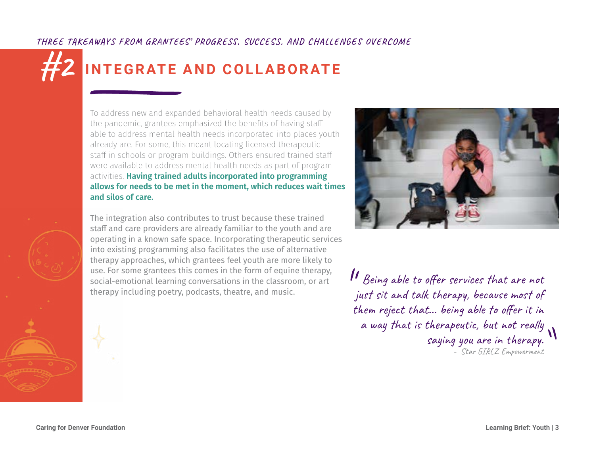# **#2 INTEGRATE AND COLLABORATE**

To address new and expanded behavioral health needs caused by the pandemic, grantees emphasized the benefits of having staff able to address mental health needs incorporated into places youth already are. For some, this meant locating licensed therapeutic staff in schools or program buildings. Others ensured trained staff were available to address mental health needs as part of program activities. **Having trained adults incorporated into programming allows for needs to be met in the moment, which reduces wait times and silos of care.** 

The integration also contributes to trust because these trained staff and care providers are already familiar to the youth and are operating in a known safe space. Incorporating therapeutic services into existing programming also facilitates the use of alternative therapy approaches, which grantees feel youth are more likely to use. For some grantees this comes in the form of equine therapy, social-emotional learning conversations in the classroom, or art therapy including poetry, podcasts, theatre, and music.



Being able to offer services that are not just sit and talk therapy, because most of them reject that… being able to offer it in a way that is therapeutic, but not really saying you are in therapy. - Star GIRLZ Empowerment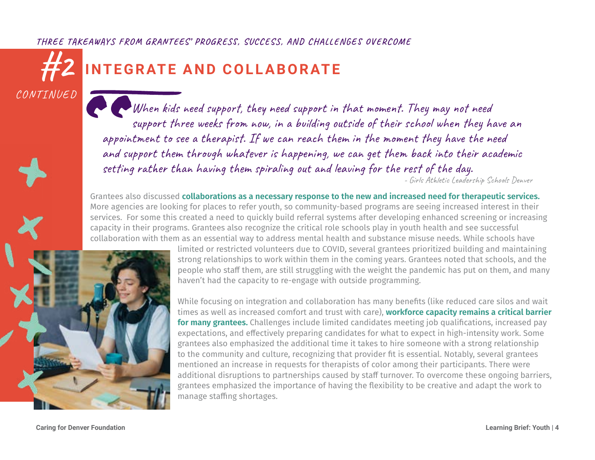CONTINUED

## **#2 INTEGRATE AND COLLABORATE**

When kids need support, they need support in that moment. They may not need support three weeks from now, in a building outside of their school when they have an appointment to see a therapist. If we can reach them in the moment they have the need and support them through whatever is happening, we can get them back into their academic setting rather than having them spiraling out and leaving for the rest of the day.

- Girls Athletic Leadership Schools Denver

Grantees also discussed **collaborations as a necessary response to the new and increased need for therapeutic services.**  More agencies are looking for places to refer youth, so community-based programs are seeing increased interest in their services. For some this created a need to quickly build referral systems after developing enhanced screening or increasing capacity in their programs. Grantees also recognize the critical role schools play in youth health and see successful collaboration with them as an essential way to address mental health and substance misuse needs. While schools have



limited or restricted volunteers due to COVID, several grantees prioritized building and maintaining strong relationships to work within them in the coming years. Grantees noted that schools, and the people who staff them, are still struggling with the weight the pandemic has put on them, and many haven't had the capacity to re-engage with outside programming.

While focusing on integration and collaboration has many benefits (like reduced care silos and wait times as well as increased comfort and trust with care), **workforce capacity remains a critical barrier for many grantees.** Challenges include limited candidates meeting job qualifications, increased pay expectations, and effectively preparing candidates for what to expect in high-intensity work. Some grantees also emphasized the additional time it takes to hire someone with a strong relationship to the community and culture, recognizing that provider fit is essential. Notably, several grantees mentioned an increase in requests for therapists of color among their participants. There were additional disruptions to partnerships caused by staff turnover. To overcome these ongoing barriers, grantees emphasized the importance of having the flexibility to be creative and adapt the work to manage staffing shortages.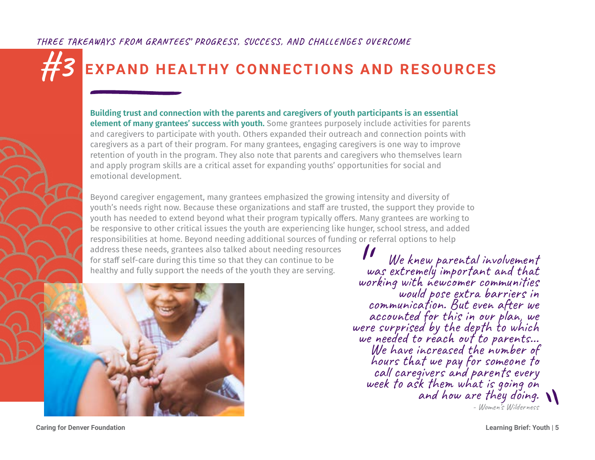## **#3 EXPAND HEALTHY CONNECTIONS AND RESOURCES**

**Building trust and connection with the parents and caregivers of youth participants is an essential element of many grantees' success with youth.** Some grantees purposely include activities for parents and caregivers to participate with youth. Others expanded their outreach and connection points with caregivers as a part of their program. For many grantees, engaging caregivers is one way to improve retention of youth in the program. They also note that parents and caregivers who themselves learn and apply program skills are a critical asset for expanding youths' opportunities for social and emotional development.

Beyond caregiver engagement, many grantees emphasized the growing intensity and diversity of youth's needs right now. Because these organizations and staff are trusted, the support they provide to youth has needed to extend beyond what their program typically offers. Many grantees are working to be responsive to other critical issues the youth are experiencing like hunger, school stress, and added responsibilities at home. Beyond needing additional sources of funding or referral options to help

address these needs, grantees also talked about needing resources for staff self-care during this time so that they can continue to be healthy and fully support the needs of the youth they are serving.



We knew parental involvement was extremely important and that working with newcomer communities would pose extra barriers in communication. But even after we accounted for this in our plan, we were surprised by the depth to which we needed to reach out to parents… We have increased the number of hours that we pay for someone to call caregivers and parents every week to ask them what is going on and how are they doing.

- Women's Wilderness

**Caring for Denver Foundation Learning Brief: Youth | 5**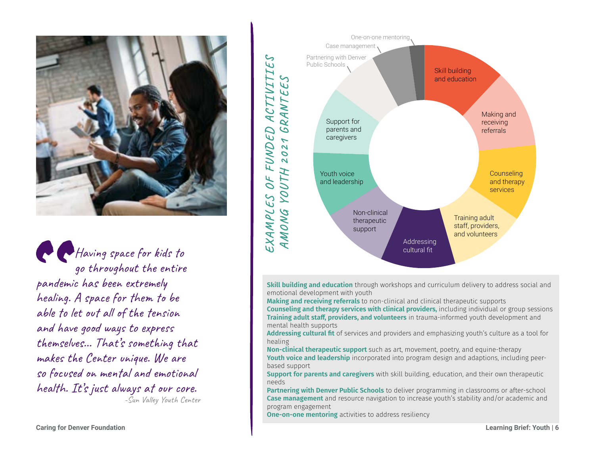

Having space for kids to go throughout the entire pandemic has been extremely healing. A space for them to be able to let out all of the tension and have good ways to express themselves... That's something that makes the Center unique. We are so focused on mental and emotional health. It's just always at our core. -Sun Valley Youth Center

م<br>م **EXAMPLES OF FUNDED ACTIVITIES AMONG YOUTH 2021 GRANTEES**  $\tilde{\mathbf{u}}$ GRAN AC7 FUNDED  $\overline{\phantom{0}}$  $\overline{O}$  $\overline{N}$ YOUTH OF  $\mathcal{E}\mathcal{S}$ EXAMPL AMONG



**Skill building and education** through workshops and curriculum delivery to address social and emotional development with youth

**Making and receiving referrals** to non-clinical and clinical therapeutic supports **Counseling and therapy services with clinical providers,** including individual or group sessions **Training adult staff, providers, and volunteers** in trauma-informed youth development and mental health supports

**Addressing cultural fit** of services and providers and emphasizing youth's culture as a tool for healing

**Non-clinical therapeutic support** such as art, movement, poetry, and equine-therapy **Youth voice and leadership** incorporated into program design and adaptions, including peerbased support

**Support for parents and caregivers** with skill building, education, and their own therapeutic needs

**Partnering with Denver Public Schools** to deliver programming in classrooms or after-school **Case management** and resource navigation to increase youth's stability and/or academic and program engagement

**One-on-one mentoring** activities to address resiliency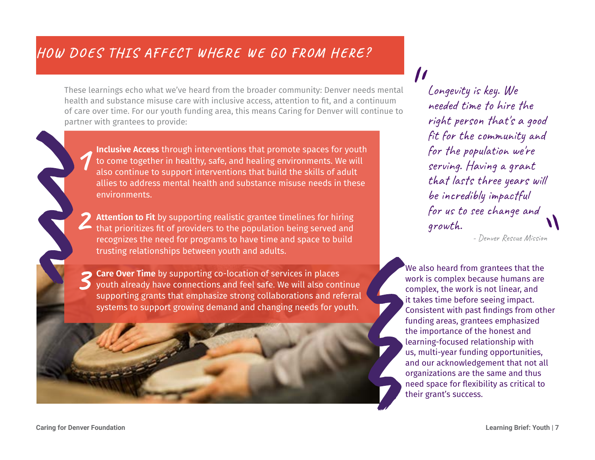### **HOW DOES THIS AFFECT WHERE WE GO FROM HERE?**

These learnings echo what we've heard from the broader community: Denver needs mental health and substance misuse care with inclusive access, attention to fit, and a continuum of care over time. For our youth funding area, this means Caring for Denver will continue to partner with grantees to provide:



**Inclusive Access** through interventions that promote spaces for youth to come together in healthy, safe, and healing environments. We will also continue to support interventions that build the skills of adult allies to address mental health and substance misuse needs in these environments.

**Attention to Fit** by supporting realistic grantee timelines for hiring that prioritizes fit of providers to the population being served and recognizes the need for programs to have time and space to build trusting relationships between youth and adults.

**Care Over Time** by supporting co-location of services in places youth already have connections and feel safe. We will also continue supporting grants that emphasize strong collaborations and referral systems to support growing demand and changing needs for youth.

Longevity is key. We needed time to hire the right person that's a good fit for the community and for the population we're serving. Having a grant that lasts three years will be incredibly impactful for us to see change and growth.

- Denver Rescue Mission

We also heard from grantees that the work is complex because humans are complex, the work is not linear, and it takes time before seeing impact. Consistent with past findings from other funding areas, grantees emphasized the importance of the honest and learning-focused relationship with us, multi-year funding opportunities, and our acknowledgement that not all organizations are the same and thus need space for flexibility as critical to their grant's success.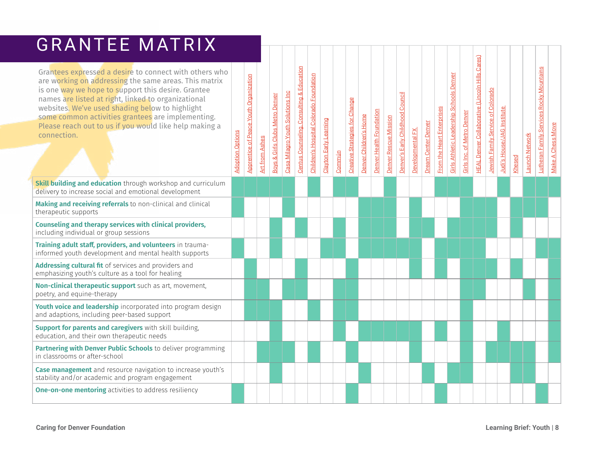# GRANTE

| <b>Skill building and education</b> through workshop and curriculum |  |
|---------------------------------------------------------------------|--|
| delivery to increase social and emotional development               |  |

| GRANTEE MATRIX                                                                                                                                                                                                                                                                                                                                                                                                |                         |                                        |                |                                 |                                  |                                           |                                         |                        |        |                                |                        |                          |                       |                                  |                  |                            |                            |                                          |                            |                                                        |                                   |                            |        |                       |                                          |                   |
|---------------------------------------------------------------------------------------------------------------------------------------------------------------------------------------------------------------------------------------------------------------------------------------------------------------------------------------------------------------------------------------------------------------|-------------------------|----------------------------------------|----------------|---------------------------------|----------------------------------|-------------------------------------------|-----------------------------------------|------------------------|--------|--------------------------------|------------------------|--------------------------|-----------------------|----------------------------------|------------------|----------------------------|----------------------------|------------------------------------------|----------------------------|--------------------------------------------------------|-----------------------------------|----------------------------|--------|-----------------------|------------------------------------------|-------------------|
| Grantees expressed a desire to connect with others who<br>are working on addressing the same areas. This matrix<br>is one way we hope to support this desire. Grantee<br>names are listed at right, linked to organizational<br>websites. We've used shading below to highlight<br>some common activities grantees are implementing.<br>Please reach out to us if you would like help making a<br>connection. | <b>Adoption Options</b> | Apprentice of Peace Youth Organization | Art from Ashes | Boys & Girls Clubs Metro Denver | Casa Milagro Youth Solutions Inc | Centus Counseling, Consulting & Education | Children's Hospital Colorado Foundation | Clayton Early Learning | Commún | Creative Strategies for Change | Denver Children's Home | Denver Health Foundation | Denver Rescue Mission | Denver's Early Childhood Council | Developmental FX | <b>Dream Center Denver</b> | From the Heart Enterprises | Girls Athletic Leadership Schools Denver | Girls Inc. of Metro Denver | <b>HEAL Denver Collaborative (Lincoln Hills Cares)</b> | Jewish Family Service of Colorado | Judi's House/JAG Institute | Khesed | <b>Launch Network</b> | Lutheran Family Services Rocky Mountains | Make A Chess Move |
| <b>Skill building and education</b> through workshop and curriculum<br>delivery to increase social and emotional development                                                                                                                                                                                                                                                                                  |                         |                                        |                |                                 |                                  |                                           |                                         |                        |        |                                |                        |                          |                       |                                  |                  |                            |                            |                                          |                            |                                                        |                                   |                            |        |                       |                                          |                   |
| Making and receiving referrals to non-clinical and clinical<br>therapeutic supports                                                                                                                                                                                                                                                                                                                           |                         |                                        |                |                                 |                                  |                                           |                                         |                        |        |                                |                        |                          |                       |                                  |                  |                            |                            |                                          |                            |                                                        |                                   |                            |        |                       |                                          |                   |
| <b>Counseling and therapy services with clinical providers,</b><br>including individual or group sessions                                                                                                                                                                                                                                                                                                     |                         |                                        |                |                                 |                                  |                                           |                                         |                        |        |                                |                        |                          |                       |                                  |                  |                            |                            |                                          |                            |                                                        |                                   |                            |        |                       |                                          |                   |
| Training adult staff, providers, and volunteers in trauma-<br>informed youth development and mental health supports                                                                                                                                                                                                                                                                                           |                         |                                        |                |                                 |                                  |                                           |                                         |                        |        |                                |                        |                          |                       |                                  |                  |                            |                            |                                          |                            |                                                        |                                   |                            |        |                       |                                          |                   |
| Addressing cultural fit of services and providers and<br>emphasizing youth's culture as a tool for healing                                                                                                                                                                                                                                                                                                    |                         |                                        |                |                                 |                                  |                                           |                                         |                        |        |                                |                        |                          |                       |                                  |                  |                            |                            |                                          |                            |                                                        |                                   |                            |        |                       |                                          |                   |
| Non-clinical therapeutic support such as art, movement,<br>poetry, and equine-therapy                                                                                                                                                                                                                                                                                                                         |                         |                                        |                |                                 |                                  |                                           |                                         |                        |        |                                |                        |                          |                       |                                  |                  |                            |                            |                                          |                            |                                                        |                                   |                            |        |                       |                                          |                   |
| Youth voice and leadership incorporated into program design<br>and adaptions, including peer-based support                                                                                                                                                                                                                                                                                                    |                         |                                        |                |                                 |                                  |                                           |                                         |                        |        |                                |                        |                          |                       |                                  |                  |                            |                            |                                          |                            |                                                        |                                   |                            |        |                       |                                          |                   |
| Support for parents and caregivers with skill building,<br>education, and their own therapeutic needs                                                                                                                                                                                                                                                                                                         |                         |                                        |                |                                 |                                  |                                           |                                         |                        |        |                                |                        |                          |                       |                                  |                  |                            |                            |                                          |                            |                                                        |                                   |                            |        |                       |                                          |                   |
| Partnering with Denver Public Schools to deliver programming<br>in classrooms or after-school                                                                                                                                                                                                                                                                                                                 |                         |                                        |                |                                 |                                  |                                           |                                         |                        |        |                                |                        |                          |                       |                                  |                  |                            |                            |                                          |                            |                                                        |                                   |                            |        |                       |                                          |                   |
| Case management and resource navigation to increase youth's<br>stability and/or academic and program engagement                                                                                                                                                                                                                                                                                               |                         |                                        |                |                                 |                                  |                                           |                                         |                        |        |                                |                        |                          |                       |                                  |                  |                            |                            |                                          |                            |                                                        |                                   |                            |        |                       |                                          |                   |
| <b>One-on-one mentoring</b> activities to address resiliency                                                                                                                                                                                                                                                                                                                                                  |                         |                                        |                |                                 |                                  |                                           |                                         |                        |        |                                |                        |                          |                       |                                  |                  |                            |                            |                                          |                            |                                                        |                                   |                            |        |                       |                                          |                   |
| <b>Caring for Denver Foundation</b>                                                                                                                                                                                                                                                                                                                                                                           |                         |                                        |                |                                 |                                  |                                           |                                         |                        |        |                                |                        |                          |                       |                                  |                  |                            |                            |                                          |                            |                                                        |                                   |                            |        |                       | Learning Brief: Youth   8                |                   |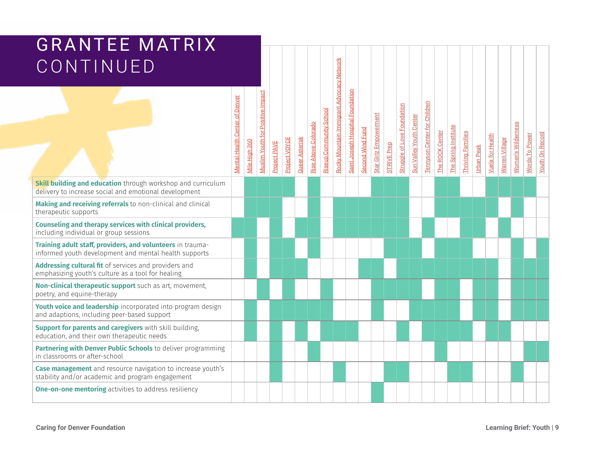# GRANTEE MATRIX CONTINUED

| CONTINUED                                                                                                                    |                                       |               |                                  |                     |               |                |                     |                                |                                           |                                  |                  |                        |                    |                             |                         |                                     |                 |                      |                          |                   |                         |                |                    |                |                        |
|------------------------------------------------------------------------------------------------------------------------------|---------------------------------------|---------------|----------------------------------|---------------------|---------------|----------------|---------------------|--------------------------------|-------------------------------------------|----------------------------------|------------------|------------------------|--------------------|-----------------------------|-------------------------|-------------------------------------|-----------------|----------------------|--------------------------|-------------------|-------------------------|----------------|--------------------|----------------|------------------------|
|                                                                                                                              | <b>Mental Health Center of Denver</b> | Mile High 360 | Muslim Youth for Positive Impact | <b>Project PAVE</b> | Project VOYCE | Queer Asterisk | Rise Above Colorado | <b>Riseup Community School</b> | Rocky Mountain Immigrant Advocacy Network | Saint Joseph Hospital Foundation | Second Wind Fund | Star Girlz Empowerment | <b>STRIVE Prep</b> | Struggle of Love Foundation | Sun Valley Youth Center | <b>Tennyson Center for Children</b> | The ROCK Center | The Spring Institute | <b>Thriving Families</b> | <b>Urban Peak</b> | <b>Vuela for Health</b> | Warren Village | Women's Wilderness | Words To Power | <b>Youth On Record</b> |
| <b>Skill building and education</b> through workshop and curriculum<br>delivery to increase social and emotional development |                                       |               |                                  |                     |               |                |                     |                                |                                           |                                  |                  |                        |                    |                             |                         |                                     |                 |                      |                          |                   |                         |                |                    |                |                        |
| Making and receiving referrals to non-clinical and clinical<br>therapeutic supports                                          |                                       |               |                                  |                     |               |                |                     |                                |                                           |                                  |                  |                        |                    |                             |                         |                                     |                 |                      |                          |                   |                         |                |                    |                |                        |
| Counseling and therapy services with clinical providers,<br>including individual or group sessions                           |                                       |               |                                  |                     |               |                |                     |                                |                                           |                                  |                  |                        |                    |                             |                         |                                     |                 |                      |                          |                   |                         |                |                    |                |                        |
| Training adult staff, providers, and volunteers in trauma-<br>informed youth development and mental health supports          |                                       |               |                                  |                     |               |                |                     |                                |                                           |                                  |                  |                        |                    |                             |                         |                                     |                 |                      |                          |                   |                         |                |                    |                |                        |
| Addressing cultural fit of services and providers and<br>emphasizing youth's culture as a tool for healing                   |                                       |               |                                  |                     |               |                |                     |                                |                                           |                                  |                  |                        |                    |                             |                         |                                     |                 |                      |                          |                   |                         |                |                    |                |                        |
| Non-clinical therapeutic support such as art, movement,<br>poetry, and equine-therapy                                        |                                       |               |                                  |                     |               |                |                     |                                |                                           |                                  |                  |                        |                    |                             |                         |                                     |                 |                      |                          |                   |                         |                |                    |                |                        |
| Youth voice and leadership incorporated into program design<br>and adaptions, including peer-based support                   |                                       |               |                                  |                     |               |                |                     |                                |                                           |                                  |                  |                        |                    |                             |                         |                                     |                 |                      |                          |                   |                         |                |                    |                |                        |
| Support for parents and caregivers with skill building,<br>education, and their own therapeutic needs                        |                                       |               |                                  |                     |               |                |                     |                                |                                           |                                  |                  |                        |                    |                             |                         |                                     |                 |                      |                          |                   |                         |                |                    |                |                        |
| Partnering with Denver Public Schools to deliver programming<br>in classrooms or after-school                                |                                       |               |                                  |                     |               |                |                     |                                |                                           |                                  |                  |                        |                    |                             |                         |                                     |                 |                      |                          |                   |                         |                |                    |                |                        |
| <b>Case management</b> and resource navigation to increase youth's<br>stability and/or academic and program engagement       |                                       |               |                                  |                     |               |                |                     |                                |                                           |                                  |                  |                        |                    |                             |                         |                                     |                 |                      |                          |                   |                         |                |                    |                |                        |
| <b>One-on-one mentoring</b> activities to address resiliency                                                                 |                                       |               |                                  |                     |               |                |                     |                                |                                           |                                  |                  |                        |                    |                             |                         |                                     |                 |                      |                          |                   |                         |                |                    |                |                        |